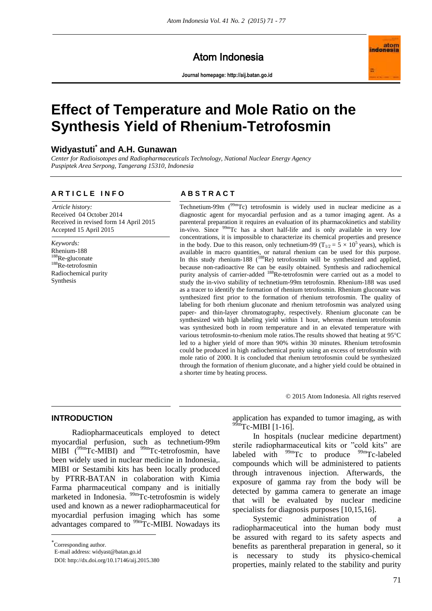Atom Indonesia

**Journal homepage[: http://aij.batan.go.id](http://aij.batan.go.id/)**



# **Effect of Temperature and Mole Ratio on the Synthesis Yield of Rhenium-Tetrofosmin**

## **Widyastuti\* and A.H. Gunawan**

*Center for Radioisotopes and Radiopharmaceuticals Technology, National Nuclear Energy Agency Puspiptek Area Serpong, Tangerang 15310, Indonesia*

#### **A R T I C L E I N F O A B S T R A C T**

*Article history:* Received 04 October 2014 Received in revised form 14 April 2015 Accepted 15 April 2015

*Keywords:* Rhenium-188 <sup>188</sup>Re-gluconate <sup>188</sup>Re-tetrofosmin Radiochemical purity Synthesis

Technetium-99m ( $99m$ Tc) tetrofosmin is widely used in nuclear medicine as a diagnostic agent for myocardial perfusion and as a tumor imaging agent. As a parenteral preparation it requires an evaluation of its pharmacokinetics and stability in-vivo. Since <sup>99m</sup>Tc has a short half-life and is only available in very low concentrations, it is impossible to characterize its chemical properties and presence in the body. Due to this reason, only technetium-99 ( $T_{1/2} = 5 \times 10^5$  years), which is available in macro quantities, or natural rhenium can be used for this purpose. In this study rhenium-188 ( $^{188}$ Re) tetrofosmin will be synthesized and applied, because non-radioactive Re can be easily obtained. Synthesis and radiochemical purity analysis of carrier-added <sup>188</sup>Re-tetrofosmin were carried out as a model to study the in-vivo stability of technetium-99m tetrofosmin. Rhenium-188 was used as a tracer to identify the formation of rhenium tetrofosmin. Rhenium gluconate was synthesized first prior to the formation of rhenium tetrofosmin. The quality of labeling for both rhenium gluconate and rhenium tetrofosmin was analyzed using paper- and thin-layer chromatography, respectively. Rhenium gluconate can be synthesized with high labeling yield within 1 hour, whereas rhenium tetrofosmin was synthesized both in room temperature and in an elevated temperature with various tetrofosmin-to-rhenium mole ratios. The results showed that heating at 95°C led to a higher yield of more than 90% within 30 minutes. Rhenium tetrofosmin could be produced in high radiochemical purity using an excess of tetrofosmin with mole ratio of 2000. It is concluded that rhenium tetrofosmin could be synthesized through the formation of rhenium gluconate, and a higher yield could be obtained in a shorter time by heating process.

© 2015 Atom Indonesia. All rights reserved

#### **INTRODUCTION**

Radiopharmaceuticals employed to detect myocardial perfusion, such as technetium-99m MIBI  $(^{99}$ mTc-MIBI) and  $^{99}$ mTc-tetrofosmin, have been widely used in nuclear medicine in Indonesia,. MIBI or Sestamibi kits has been locally produced by PTRR-BATAN in colaboration with Kimia Farma pharmaceutical company and is initially marketed in Indonesia. <sup>99m</sup>Tc-tetrofosmin is widely used and known as a newer radiopharmaceutical for myocardial perfusion imaging which has some advantages compared to <sup>99m</sup>Tc-MIBI. Nowadays its

 $\overline{a}$ 

application has expanded to tumor imaging, as with  $99m$ Tc-MIBI [1-16].

In hospitals (nuclear medicine department) sterile radiopharmaceutical kits or "cold kits" are labeled with  $99mTc$  to produce  $99mTc$ -labeled compounds which will be administered to patients through intravenous injection. Afterwards, the exposure of gamma ray from the body will be detected by gamma camera to generate an image that will be evaluated by nuclear medicine specialists for diagnosis purposes [10,15,16].

Systemic administration of a radiopharmaceutical into the human body must be assured with regard to its safety aspects and benefits as parentheral preparation in general, so it is necessary to study its physico-chemical properties, mainly related to the stability and purity

Corresponding author.

E-mail address: [widyast@batan.go.id](mailto:widyast@batan.go.id)

DOI: http://dx.doi.org/10.17146/aij.2015.380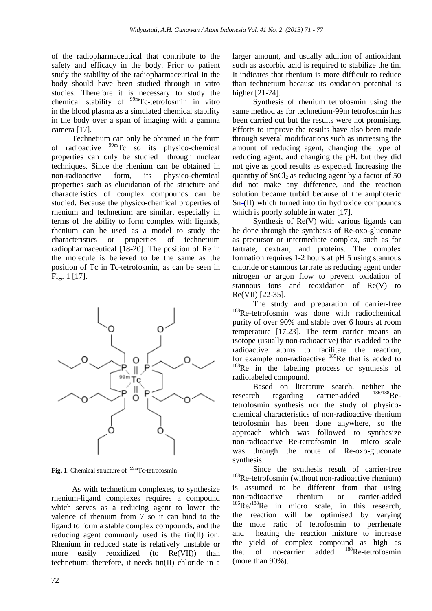of the radiopharmaceutical that contribute to the safety and efficacy in the body. Prior to patient study the stability of the radiopharmaceutical in the body should have been studied through in vitro studies. Therefore it is necessary to study the chemical stability of <sup>99m</sup>Tc-tetrofosmin in vitro in the blood plasma as a simulated chemical stability in the body over a span of imaging with a gamma camera [17].

Technetium can only be obtained in the form of radioactive  $99m$ Tc so its physico-chemical properties can only be studied through nuclear techniques. Since the rhenium can be obtained in non-radioactive form, its physico-chemical properties such as elucidation of the structure and characteristics of complex compounds can be studied. Because the physico-chemical properties of rhenium and technetium are similar, especially in terms of the ability to form complex with ligands, rhenium can be used as a model to study the characteristics or properties of technetium radiopharmaceutical [18-20]. The position of Re in the molecule is believed to be the same as the position of Tc in Tc-tetrofosmin, as can be seen in Fig. 1 [17].



Fig. 1. Chemical structure of <sup>99m</sup>Tc-tetrofosmin

As with technetium complexes, to synthesize rhenium-ligand complexes requires a compound which serves as a reducing agent to lower the valence of rhenium from 7 so it can bind to the ligand to form a stable complex compounds, and the reducing agent commonly used is the tin(II) ion. Rhenium in reduced state is relatively unstable or more easily reoxidized (to Re(VII)) than technetium; therefore, it needs tin(II) chloride in a larger amount, and usually addition of antioxidant such as ascorbic acid is required to stabilize the tin. It indicates that rhenium is more difficult to reduce than technetium because its oxidation potential is higher [21-24].

Synthesis of rhenium tetrofosmin using the same method as for technetium-99m tetrofosmin has been carried out but the results were not promising. Efforts to improve the results have also been made through several modifications such as increasing the amount of reducing agent, changing the type of reducing agent, and changing the pH, but they did not give as good results as expected. Increasing the quantity of  $SnCl<sub>2</sub>$  as reducing agent by a factor of 50 did not make any difference, and the reaction solution became turbid because of the amphoteric  $Sn-(II)$  which turned into tin hydroxide compounds which is poorly soluble in water [17].

Synthesis of Re(V) with various ligands can be done through the synthesis of Re-oxo-gluconate as precursor or intermediate complex, such as for tartrate, dextran, and proteins. The complex formation requires 1-2 hours at pH 5 using stannous chloride or stannous tartrate as reducing agent under nitrogen or argon flow to prevent oxidation of stannous ions and reoxidation of Re(V) to Re(VII) [22-35].

The study and preparation of carrier-free <sup>188</sup>Re-tetrofosmin was done with radiochemical purity of over 90% and stable over 6 hours at room temperature [17,23]. The term carrier means an isotope (usually non-radioactive) that is added to the radioactive atoms to facilitate the reaction, for example non-radioactive <sup>185</sup>Re that is added to <sup>188</sup>Re in the labeling process or synthesis of radiolabeled compound.

Based on literature search, neither the<br>ch regarding carrier-added  $^{186/188}$ Reresearch regarding carrier-added tetrofosmin synthesis nor the study of physicochemical characteristics of non-radioactive rhenium tetrofosmin has been done anywhere, so the approach which was followed to synthesize non-radioactive Re-tetrofosmin in micro scale was through the route of Re-oxo-gluconate synthesis.

Since the synthesis result of carrier-free <sup>188</sup>Re-tetrofosmin (without non-radioactive rhenium) is assumed to be different from that using non-radioactive rhenium or carrier-added <sup>186</sup>Re/<sup>188</sup>Re in micro scale, in this research, the reaction will be optimised by varying the mole ratio of tetrofosmin to perrhenate and heating the reaction mixture to increase the yield of complex compound as high as that of no-carrier added  $^{188}$ Re-tetrofosmin that of no-carrier added (more than 90%).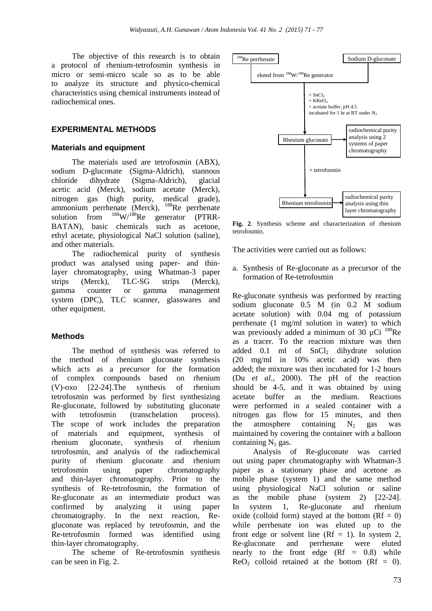The objective of this research is to obtain a protocol of rhenium-tetrofosmin synthesis in micro or semi-micro scale so as to be able to analyze its structure and physico-chemical characteristics using chemical instruments instead of radiochemical ones.

#### **EXPERIMENTAL METHODS**

#### **Materials and equipment**

The materials used are tetrofosmin (ABX), sodium D-gluconate (Sigma-Aldrich), stannous chloride dihydrate (Sigma-Aldrich), glacial acetic acid (Merck), sodium acetate (Merck), nitrogen gas (high purity, medical grade), ammonium perrhenate (Merck), <sup>188</sup>Re perrhenate solution from  $188 \text{W}/188 \text{Re}$  generator (PTRR-BATAN), basic chemicals such as acetone, ethyl acetate, physiological NaCl solution (saline), and other materials.

The radiochemical purity of synthesis product was analysed using paper- and thinlayer chromatography, using Whatman-3 paper strips (Merck), TLC-SG strips (Merck), gamma counter or gamma management system (DPC), TLC scanner, glasswares and other equipment.

#### **Methods**

The method of synthesis was referred to the method of rhenium gluconate synthesis which acts as a precursor for the formation of complex compounds based on rhenium (V)-oxo [22-24].The synthesis of rhenium tetrofosmin was performed by first synthesizing Re-gluconate, followed by substituting gluconate with tetrofosmin (transchelation process). The scope of work includes the preparation of materials and equipment, synthesis of rhenium gluconate, synthesis of rhenium tetrofosmin, and analysis of the radiochemical purity of rhenium gluconate and rhenium tetrofosmin using paper chromatography and thin-layer chromatography. Prior to the synthesis of Re-tetrofosmin, the formation of Re-gluconate as an intermediate product was confirmed by analyzing it using paper chromatography. In the next reaction, Regluconate was replaced by tetrofosmin, and the Re-tetrofosmin formed was identified using thin-layer chromatography.

The scheme of Re-tetrofosmin synthesis can be seen in Fig. 2.



**Fig. 2**. Synthesis scheme and characterization of rhenium tetrofosmin.

The activities were carried out as follows:

a. Synthesis of Re-gluconate as a precursor of the formation of Re-tetrofosmin

Re-gluconate synthesis was performed by reacting sodium gluconate 0.5 M (in 0.2 M sodium acetate solution) with 0.04 mg of potassium perrhenate (1 mg/ml solution in water) to which was previously added a minimum of 30  $\mu$ Ci  $^{188}$ Re as a tracer. To the reaction mixture was then added 0.1 ml of  $SnCl<sub>2</sub>$  dihydrate solution (20 mg/ml in 10% acetic acid) was then added; the mixture was then incubated for 1-2 hours (Du *et al*., 2000). The pH of the reaction should be 4-5, and it was obtained by using acetate buffer as the medium. Reactions were performed in a sealed container with a nitrogen gas flow for 15 minutes, and then the atmosphere containing  $N_2$  gas was maintained by covering the container with a balloon containing  $N_2$  gas.

Analysis of Re-gluconate was carried out using paper chromatography with Whatman-3 paper as a stationary phase and acetone as mobile phase (system 1) and the same method using physiological NaCl solution or saline as the mobile phase (system 2) [22-24]. In system 1, Re-gluconate and rhenium oxide (colloid form) stayed at the bottom  $(Rf = 0)$ while perrhenate ion was eluted up to the front edge or solvent line  $(Rf = 1)$ . In system 2, Re-gluconate and perrhenate were eluted nearly to the front edge  $(Rf = 0.8)$  while  $ReO<sub>2</sub>$  colloid retained at the bottom  $(Rf = 0)$ .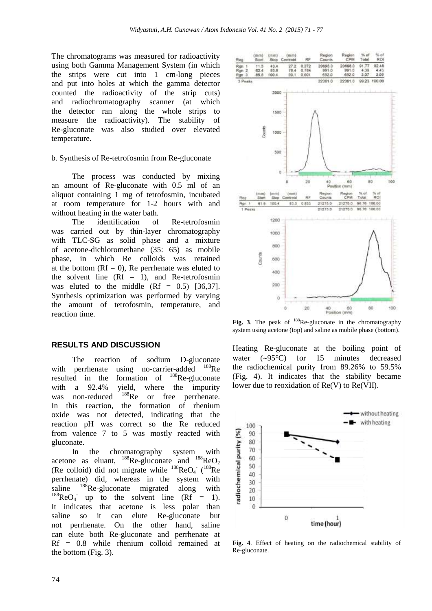The chromatograms was measured for radioactivity using both Gamma Management System (in which the strips were cut into 1 cm-long pieces and put into holes at which the gamma detector counted the radioactivity of the strip cuts) and radiochromatography scanner (at which the detector ran along the whole strips to measure the radioactivity). The stability of Re-gluconate was also studied over elevated temperature.

#### b. Synthesis of Re-tetrofosmin from Re-gluconate

The process was conducted by mixing an amount of Re-gluconate with 0.5 ml of an aliquot containing 1 mg of tetrofosmin, incubated at room temperature for 1-2 hours with and without heating in the water bath.

The identification of Re-tetrofosmin was carried out by thin-layer chromatography with TLC-SG as solid phase and a mixture of acetone-dichloromethane (35: 65) as mobile phase, in which Re colloids was retained at the bottom  $(Rf = 0)$ , Re perrhenate was eluted to the solvent line  $(Rf = 1)$ , and Re-tetrofosmin was eluted to the middle  $(Rf = 0.5)$  [36,37]. Synthesis optimization was performed by varying the amount of tetrofosmin, temperature, and reaction time.

#### **RESULTS AND DISCUSSION**

The reaction of sodium D-gluconate with perrhenate using no-carrier-added <sup>188</sup>Re resulted in the formation of  $^{188}$ Re-gluconate with a 92.4% yield, where the impurity was non-reduced <sup>188</sup>Re or free perrhenate. In this reaction, the formation of rhenium oxide was not detected, indicating that the reaction pH was correct so the Re reduced from valence 7 to 5 was mostly reacted with gluconate.

In the chromatography system with acetone as eluant,  $^{188}$ Re-gluconate and  $^{188}$ ReO<sub>2</sub> (Re colloid) did not migrate while  $^{188}$ ReO<sub>4</sub><sup>-</sup> ( $^{188}$ Re perrhenate) did, whereas in the system with saline <sup>188</sup>Re-gluconate migrated along with  $^{188}$ ReO<sub>4</sub> up to the solvent line (Rf = 1). It indicates that acetone is less polar than saline so it can elute Re-gluconate but not perrhenate. On the other hand, saline can elute both Re-gluconate and perrhenate at Rf = 0.8 while rhenium colloid remained at the bottom (Fig. 3).



Fig. 3. The peak of <sup>188</sup>Re-gluconate in the chromatography system using acetone (top) and saline as mobile phase (bottom).

Heating Re-gluconate at the boiling point of water  $(\sim 95^{\circ}C)$  for 15 minutes decreased the radiochemical purity from 89.26% to 59.5% (Fig. 4). It indicates that the stability became lower due to reoxidation of Re(V) to Re(VII).



**Fig. 4**. Effect of heating on the radiochemical stability of Re-gluconate.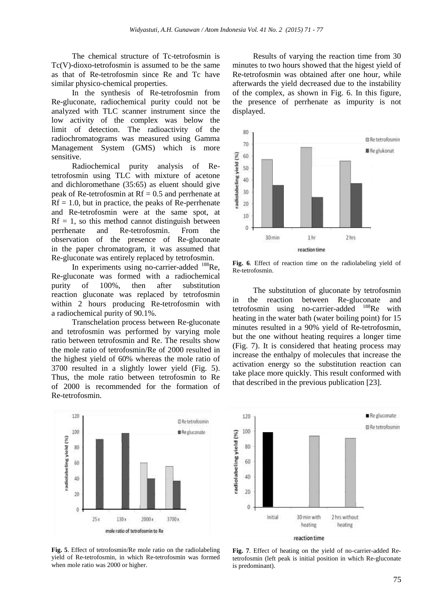The chemical structure of Tc-tetrofosmin is Tc(V)-dioxo-tetrofosmin is assumed to be the same as that of Re-tetrofosmin since Re and Tc have similar physico-chemical properties.

In the synthesis of Re-tetrofosmin from Re-gluconate, radiochemical purity could not be analyzed with TLC scanner instrument since the low activity of the complex was below the limit of detection. The radioactivity of the radiochromatograms was measured using Gamma Management System (GMS) which is more sensitive.

Radiochemical purity analysis of Retetrofosmin using TLC with mixture of acetone and dichloromethane (35:65) as eluent should give peak of Re-tetrofosmin at  $Rf = 0.5$  and perrhenate at  $Rf = 1.0$ , but in practice, the peaks of Re-perrhenate and Re-tetrofosmin were at the same spot, at  $Rf = 1$ , so this method cannot distinguish between<br>perrhenate and Re-tetrofosmin. From the and Re-tetrofosmin. From the observation of the presence of Re-gluconate in the paper chromatogram, it was assumed that Re-gluconate was entirely replaced by tetrofosmin.

In experiments using no-carrier-added  $188$ Re, Re-gluconate was formed with a radiochemical purity of 100%, then after substitution reaction gluconate was replaced by tetrofosmin within 2 hours producing Re-tetrofosmin with a radiochemical purity of 90.1%.

Transchelation process between Re-gluconate and tetrofosmin was performed by varying mole ratio between tetrofosmin and Re. The results show the mole ratio of tetrofosmin/Re of 2000 resulted in the highest yield of 60% whereas the mole ratio of 3700 resulted in a slightly lower yield (Fig. 5). Thus, the mole ratio between tetrofosmin to Re of 2000 is recommended for the formation of Re-tetrofosmin.



**Fig. 5**. Effect of tetrofosmin/Re mole ratio on the radiolabeling yield of Re-tetrofosmin, in which Re-tetrofosmin was formed when mole ratio was 2000 or higher.

Results of varying the reaction time from 30 minutes to two hours showed that the higest yield of Re-tetrofosmin was obtained after one hour, while afterwards the yield decreased due to the instability of the complex, as shown in Fig. 6. In this figure, the presence of perrhenate as impurity is not displayed.



**Fig. 6**. Effect of reaction time on the radiolabeling yield of Re-tetrofosmin.

The substitution of gluconate by tetrofosmin in the reaction between Re-gluconate and tetrofosmin using no-carrier-added <sup>188</sup>Re with heating in the water bath (water boiling point) for 15 minutes resulted in a 90% yield of Re-tetrofosmin, but the one without heating requires a longer time (Fig. 7). It is considered that heating process may increase the enthalpy of molecules that increase the activation energy so the substitution reaction can take place more quickly. This result conformed with that described in the previous publication [23].



**Fig. 7**. Effect of heating on the yield of no-carrier-added Retetrofosmin (left peak is initial position in which Re-gluconate is predominant).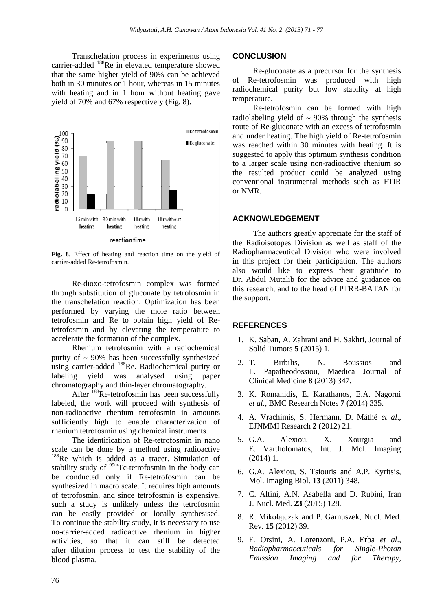Transchelation process in experiments using carrier-added <sup>188</sup>Re in elevated temperature showed that the same higher yield of 90% can be achieved both in 30 minutes or 1 hour, whereas in 15 minutes with heating and in 1 hour without heating gave yield of 70% and 67% respectively (Fig. 8).



**Fig. 8**. Effect of heating and reaction time on the yield of carrier-added Re-tetrofosmin.

Re-dioxo-tetrofosmin complex was formed through substitution of gluconate by tetrofosmin in the transchelation reaction. Optimization has been performed by varying the mole ratio between tetrofosmin and Re to obtain high yield of Retetrofosmin and by elevating the temperature to accelerate the formation of the complex.

Rhenium tetrofosmin with a radiochemical purity of  $\sim$  90% has been successfully synthesized using carrier-added <sup>188</sup>Re. Radiochemical purity or labeling yield was analysed using paper chromatography and thin-layer chromatography.

After <sup>188</sup>Re-tetrofosmin has been successfully labeled, the work will proceed with synthesis of non-radioactive rhenium tetrofosmin in amounts sufficiently high to enable characterization of rhenium tetrofosmin using chemical instruments.

The identification of Re-tetrofosmin in nano scale can be done by a method using radioactive <sup>188</sup>Re which is added as a tracer. Simulation of stability study of  $99m$ Tc-tetrofosmin in the body can be conducted only if Re-tetrofosmin can be synthesized in macro scale. It requires high amounts of tetrofosmin, and since tetrofosmin is expensive, such a study is unlikely unless the tetrofosmin can be easily provided or locally synthesised. To continue the stability study, it is necessary to use no-carrier-added radioactive rhenium in higher activities, so that it can still be detected after dilution process to test the stability of the blood plasma.

#### **CONCLUSION**

Re-gluconate as a precursor for the synthesis of Re-tetrofosmin was produced with high radiochemical purity but low stability at high temperature.

Re-tetrofosmin can be formed with high radiolabeling yield of  $\sim$  90% through the synthesis route of Re-gluconate with an excess of tetrofosmin and under heating. The high yield of Re-tetrofosmin was reached within 30 minutes with heating. It is suggested to apply this optimum synthesis condition to a larger scale using non-radioactive rhenium so the resulted product could be analyzed using conventional instrumental methods such as FTIR or NMR.

#### **ACKNOWLEDGEMENT**

The authors greatly appreciate for the staff of the Radioisotopes Division as well as staff of the Radiopharmaceutical Division who were involved in this project for their participation. The authors also would like to express their gratitude to Dr. Abdul Mutalib for the advice and guidance on this research, and to the head of PTRR-BATAN for the support.

### **REFERENCES**

- 1. K. Saban, A. Zahrani and H. Sakhri, Journal of Solid Tumors **5** (2015) 1.
- 2. T. Birbilis, N. Boussios and L. Papatheodossiou, Maedica Journal of Clinical Medicine **8** (2013) 347.
- 3. K. Romanidis, E. Karathanos, E.A. Nagorni *et al.*, BMC Research Notes **7** (2014) 335.
- 4. A. Vrachimis, S. Hermann, D. Máthé *et al*., EJNMMI Research **2** (2012) 21.
- 5. G.A. Alexiou, X. Xourgia and E. Vartholomatos, Int. J. Mol. Imaging (2014) 1.
- 6. G.A. Alexiou, S. Tsiouris and A.P. Kyritsis, Mol. Imaging Biol. **13** (2011) 348.
- 7. C. Altini, A.N. Asabella and D. Rubini, Iran J. Nucl. Med. **23** (2015) 128.
- 8. R. Mikołajczak and P. Garnuszek, Nucl. Med. Rev. **15** (2012) 39.
- 9. F. Orsini, A. Lorenzoni, P.A. Erba *et al*., *Radiopharmaceuticals for Single-Photon Emission Imaging and for Therapy*,